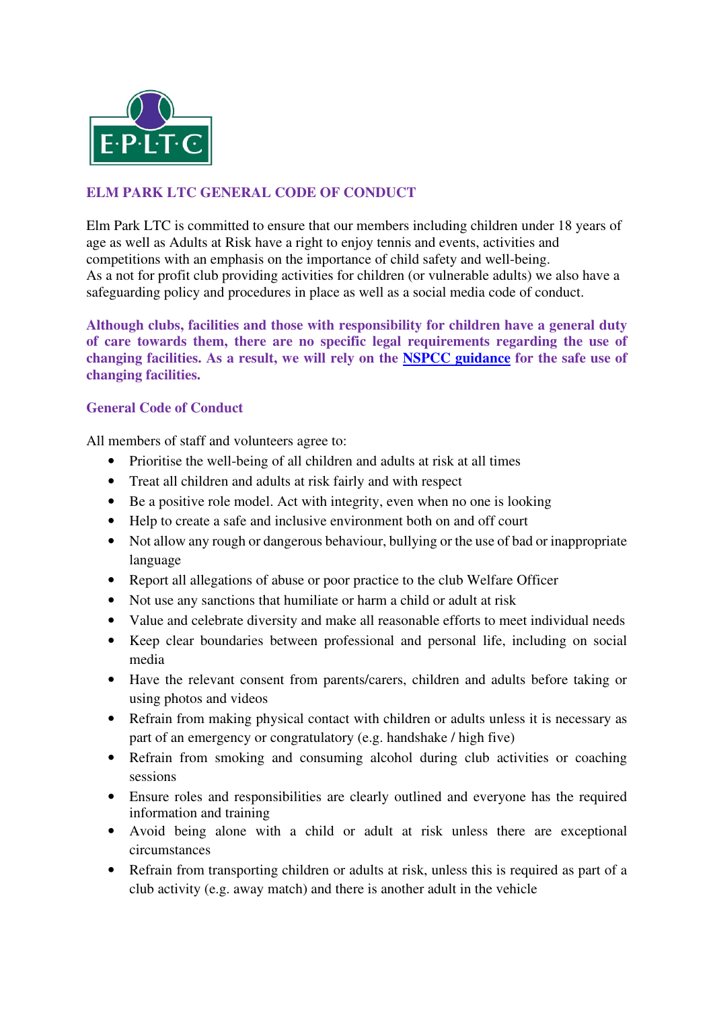

## **ELM PARK LTC GENERAL CODE OF CONDUCT**

Elm Park LTC is committed to ensure that our members including children under 18 years of age as well as Adults at Risk have a right to enjoy tennis and events, activities and competitions with an emphasis on the importance of child safety and well-being. As a not for profit club providing activities for children (or vulnerable adults) we also have a safeguarding policy and procedures in place as well as a social media code of conduct.

**Although clubs, facilities and those with responsibility for children have a general duty of care towards them, there are no specific legal requirements regarding the use of changing facilities. As a result, we will rely on the NSPCC guidance for the safe use of changing facilities.** 

## **General Code of Conduct**

All members of staff and volunteers agree to:

- Prioritise the well-being of all children and adults at risk at all times
- Treat all children and adults at risk fairly and with respect
- Be a positive role model. Act with integrity, even when no one is looking
- Help to create a safe and inclusive environment both on and off court
- Not allow any rough or dangerous behaviour, bullying or the use of bad or inappropriate language
- Report all allegations of abuse or poor practice to the club Welfare Officer
- Not use any sanctions that humiliate or harm a child or adult at risk
- Value and celebrate diversity and make all reasonable efforts to meet individual needs
- Keep clear boundaries between professional and personal life, including on social media
- Have the relevant consent from parents/carers, children and adults before taking or using photos and videos
- Refrain from making physical contact with children or adults unless it is necessary as part of an emergency or congratulatory (e.g. handshake / high five)
- Refrain from smoking and consuming alcohol during club activities or coaching sessions
- Ensure roles and responsibilities are clearly outlined and everyone has the required information and training
- Avoid being alone with a child or adult at risk unless there are exceptional circumstances
- Refrain from transporting children or adults at risk, unless this is required as part of a club activity (e.g. away match) and there is another adult in the vehicle